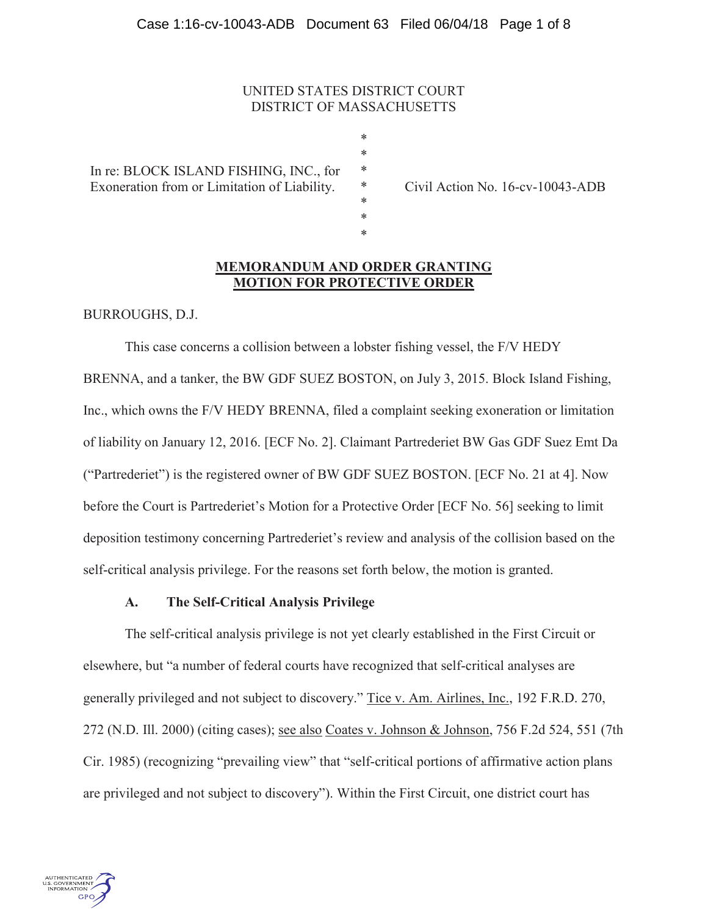# UNITED STATES DISTRICT COURT DISTRICT OF MASSACHUSETTS

\* \* \* \* \* \* \*

In re: BLOCK ISLAND FISHING, INC., for Exoneration from or Limitation of Liability.

Civil Action No. 16-cv-10043-ADB

# **MEMORANDUM AND ORDER GRANTING MOTION FOR PROTECTIVE ORDER**

BURROUGHS, D.J.

This case concerns a collision between a lobster fishing vessel, the F/V HEDY BRENNA, and a tanker, the BW GDF SUEZ BOSTON, on July 3, 2015. Block Island Fishing, Inc., which owns the F/V HEDY BRENNA, filed a complaint seeking exoneration or limitation of liability on January 12, 2016. [ECF No. 2]. Claimant Partrederiet BW Gas GDF Suez Emt Da ("Partrederiet") is the registered owner of BW GDF SUEZ BOSTON. [ECF No. 21 at 4]. Now before the Court is Partrederiet's Motion for a Protective Order [ECF No. 56] seeking to limit deposition testimony concerning Partrederiet's review and analysis of the collision based on the self-critical analysis privilege. For the reasons set forth below, the motion is granted.

### **A. The Self-Critical Analysis Privilege**

The self-critical analysis privilege is not yet clearly established in the First Circuit or elsewhere, but "a number of federal courts have recognized that self-critical analyses are generally privileged and not subject to discovery." Tice v. Am. Airlines, Inc., 192 F.R.D. 270, 272 (N.D. Ill. 2000) (citing cases); see also Coates v. Johnson & Johnson, 756 F.2d 524, 551 (7th Cir. 1985) (recognizing "prevailing view" that "self-critical portions of affirmative action plans are privileged and not subject to discovery"). Within the First Circuit, one district court has

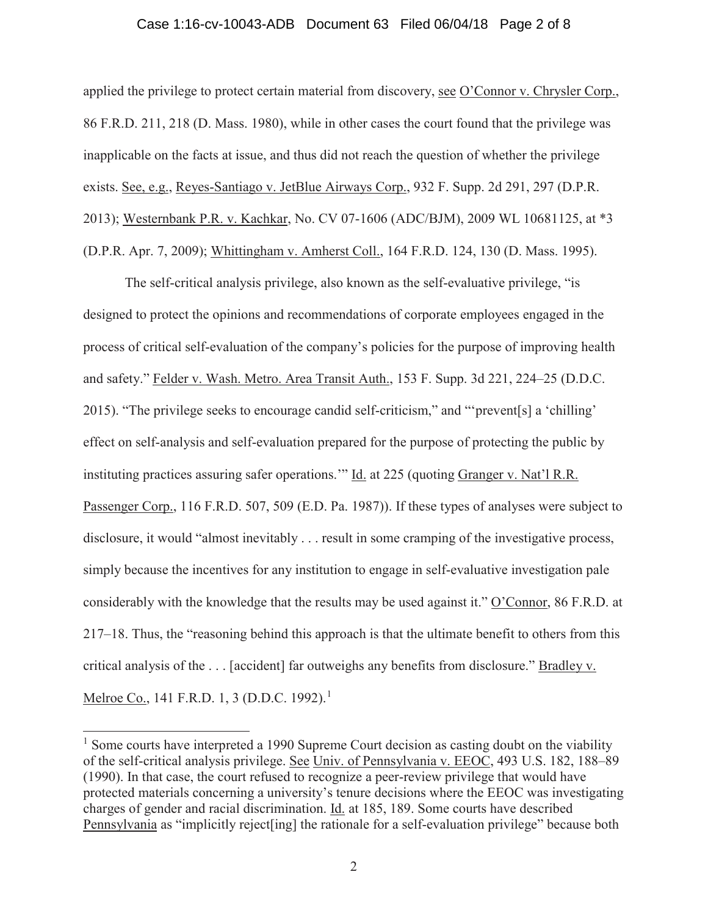#### Case 1:16-cv-10043-ADB Document 63 Filed 06/04/18 Page 2 of 8

applied the privilege to protect certain material from discovery, see O'Connor v. Chrysler Corp., 86 F.R.D. 211, 218 (D. Mass. 1980), while in other cases the court found that the privilege was inapplicable on the facts at issue, and thus did not reach the question of whether the privilege exists. See, e.g., Reyes-Santiago v. JetBlue Airways Corp., 932 F. Supp. 2d 291, 297 (D.P.R. 2013); Westernbank P.R. v. Kachkar, No. CV 07-1606 (ADC/BJM), 2009 WL 10681125, at \*3 (D.P.R. Apr. 7, 2009); Whittingham v. Amherst Coll., 164 F.R.D. 124, 130 (D. Mass. 1995).

The self-critical analysis privilege, also known as the self-evaluative privilege, "is designed to protect the opinions and recommendations of corporate employees engaged in the process of critical self-evaluation of the company's policies for the purpose of improving health and safety." Felder v. Wash. Metro. Area Transit Auth., 153 F. Supp. 3d 221, 224–25 (D.D.C. 2015). "The privilege seeks to encourage candid self-criticism," and "'prevent[s] a 'chilling' effect on self-analysis and self-evaluation prepared for the purpose of protecting the public by instituting practices assuring safer operations." Id. at 225 (quoting Granger v. Nat'l R.R. Passenger Corp., 116 F.R.D. 507, 509 (E.D. Pa. 1987)). If these types of analyses were subject to disclosure, it would "almost inevitably . . . result in some cramping of the investigative process, simply because the incentives for any institution to engage in self-evaluative investigation pale considerably with the knowledge that the results may be used against it." O'Connor, 86 F.R.D. at 217–18. Thus, the "reasoning behind this approach is that the ultimate benefit to others from this critical analysis of the . . . [accident] far outweighs any benefits from disclosure." Bradley v. Melroe Co., 141 F.R.D. 1, 3 (D.D.C. 1992).<sup>1</sup>

 $<sup>1</sup>$  Some courts have interpreted a 1990 Supreme Court decision as casting doubt on the viability</sup> of the self-critical analysis privilege. See Univ. of Pennsylvania v. EEOC, 493 U.S. 182, 188–89 (1990). In that case, the court refused to recognize a peer-review privilege that would have protected materials concerning a university's tenure decisions where the EEOC was investigating charges of gender and racial discrimination. Id. at 185, 189. Some courts have described Pennsylvania as "implicitly reject[ing] the rationale for a self-evaluation privilege" because both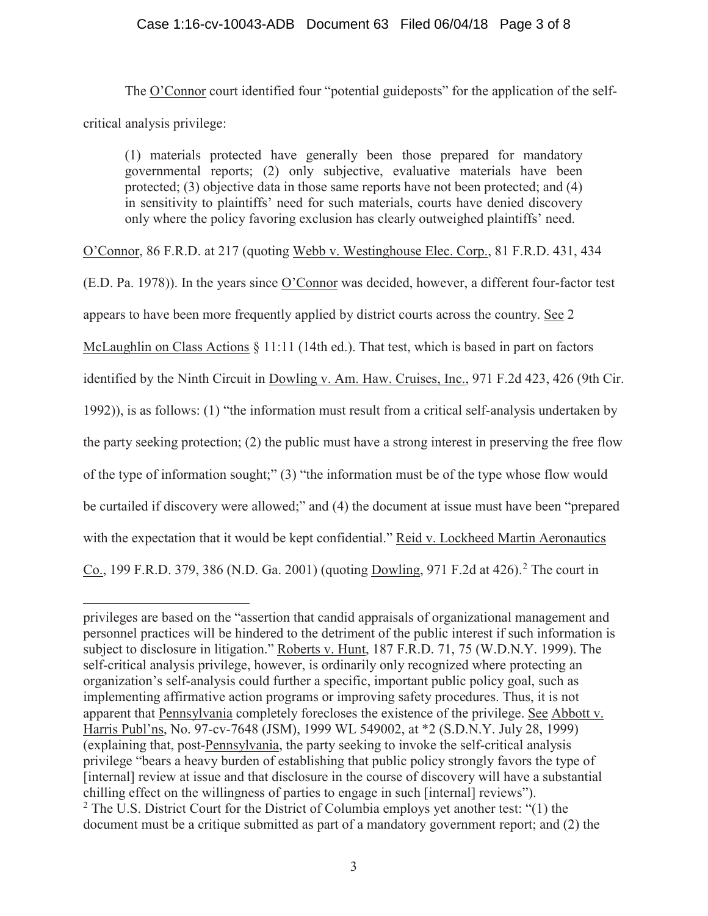# Case 1:16-cv-10043-ADB Document 63 Filed 06/04/18 Page 3 of 8

The O'Connor court identified four "potential guideposts" for the application of the selfcritical analysis privilege:

(1) materials protected have generally been those prepared for mandatory governmental reports; (2) only subjective, evaluative materials have been protected; (3) objective data in those same reports have not been protected; and (4) in sensitivity to plaintiffs' need for such materials, courts have denied discovery only where the policy favoring exclusion has clearly outweighed plaintiffs' need.

O'Connor, 86 F.R.D. at 217 (quoting Webb v. Westinghouse Elec. Corp., 81 F.R.D. 431, 434

(E.D. Pa. 1978)). In the years since O'Connor was decided, however, a different four-factor test

appears to have been more frequently applied by district courts across the country. See 2

McLaughlin on Class Actions § 11:11 (14th ed.). That test, which is based in part on factors

identified by the Ninth Circuit in Dowling v. Am. Haw. Cruises, Inc., 971 F.2d 423, 426 (9th Cir.

1992)), is as follows: (1) "the information must result from a critical self-analysis undertaken by

the party seeking protection; (2) the public must have a strong interest in preserving the free flow

of the type of information sought;" (3) "the information must be of the type whose flow would

be curtailed if discovery were allowed;" and (4) the document at issue must have been "prepared

with the expectation that it would be kept confidential." Reid v. Lockheed Martin Aeronautics

Co., 199 F.R.D. 379, 386 (N.D. Ga. 2001) (quoting Dowling, 971 F.2d at 426).<sup>2</sup> The court in

privileges are based on the "assertion that candid appraisals of organizational management and personnel practices will be hindered to the detriment of the public interest if such information is subject to disclosure in litigation." Roberts v. Hunt, 187 F.R.D. 71, 75 (W.D.N.Y. 1999). The self-critical analysis privilege, however, is ordinarily only recognized where protecting an organization's self-analysis could further a specific, important public policy goal, such as implementing affirmative action programs or improving safety procedures. Thus, it is not apparent that Pennsylvania completely forecloses the existence of the privilege. See Abbott v. Harris Publ'ns, No. 97-cv-7648 (JSM), 1999 WL 549002, at \*2 (S.D.N.Y. July 28, 1999) (explaining that, post-Pennsylvania, the party seeking to invoke the self-critical analysis privilege "bears a heavy burden of establishing that public policy strongly favors the type of [internal] review at issue and that disclosure in the course of discovery will have a substantial chilling effect on the willingness of parties to engage in such [internal] reviews"). <sup>2</sup> The U.S. District Court for the District of Columbia employs yet another test: "(1) the document must be a critique submitted as part of a mandatory government report; and (2) the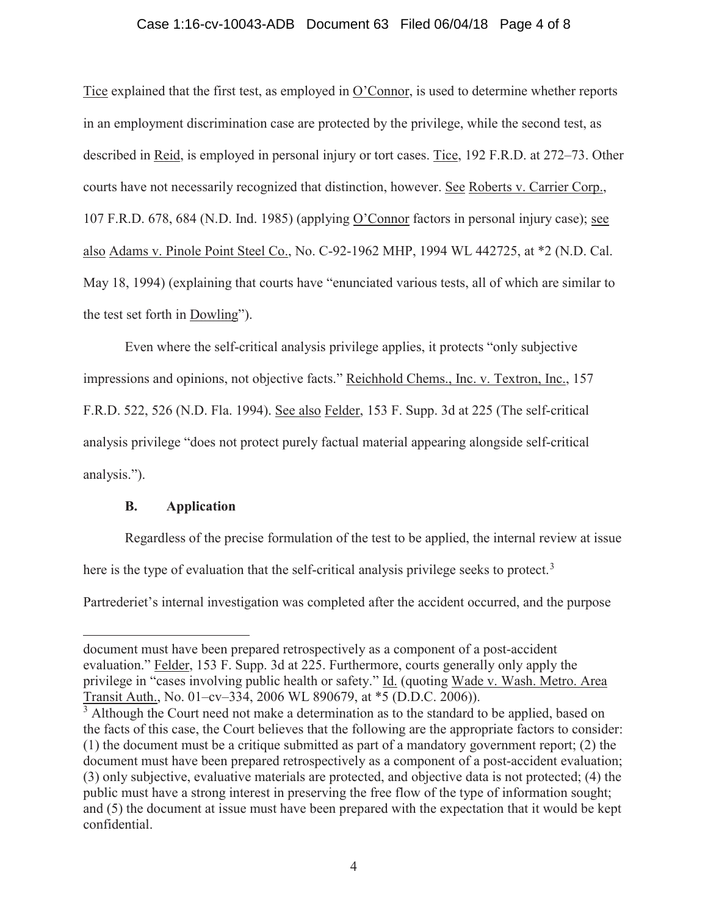## Case 1:16-cv-10043-ADB Document 63 Filed 06/04/18 Page 4 of 8

Tice explained that the first test, as employed in O'Connor, is used to determine whether reports in an employment discrimination case are protected by the privilege, while the second test, as described in Reid, is employed in personal injury or tort cases. Tice, 192 F.R.D. at 272–73. Other courts have not necessarily recognized that distinction, however. See Roberts v. Carrier Corp., 107 F.R.D. 678, 684 (N.D. Ind. 1985) (applying O'Connor factors in personal injury case); see also Adams v. Pinole Point Steel Co., No. C-92-1962 MHP, 1994 WL 442725, at \*2 (N.D. Cal. May 18, 1994) (explaining that courts have "enunciated various tests, all of which are similar to the test set forth in Dowling").

Even where the self-critical analysis privilege applies, it protects "only subjective impressions and opinions, not objective facts." Reichhold Chems., Inc. v. Textron, Inc., 157 F.R.D. 522, 526 (N.D. Fla. 1994). See also Felder, 153 F. Supp. 3d at 225 (The self-critical analysis privilege "does not protect purely factual material appearing alongside self-critical analysis.").

# **B. Application**

Regardless of the precise formulation of the test to be applied, the internal review at issue here is the type of evaluation that the self-critical analysis privilege seeks to protect.<sup>3</sup>

Partrederiet's internal investigation was completed after the accident occurred, and the purpose

document must have been prepared retrospectively as a component of a post-accident evaluation." Felder, 153 F. Supp. 3d at 225. Furthermore, courts generally only apply the privilege in "cases involving public health or safety." Id. (quoting Wade v. Wash. Metro. Area Transit Auth., No. 01–cv–334, 2006 WL 890679, at \*5 (D.D.C. 2006)).

 $3$  Although the Court need not make a determination as to the standard to be applied, based on the facts of this case, the Court believes that the following are the appropriate factors to consider: (1) the document must be a critique submitted as part of a mandatory government report; (2) the document must have been prepared retrospectively as a component of a post-accident evaluation; (3) only subjective, evaluative materials are protected, and objective data is not protected; (4) the public must have a strong interest in preserving the free flow of the type of information sought; and (5) the document at issue must have been prepared with the expectation that it would be kept confidential.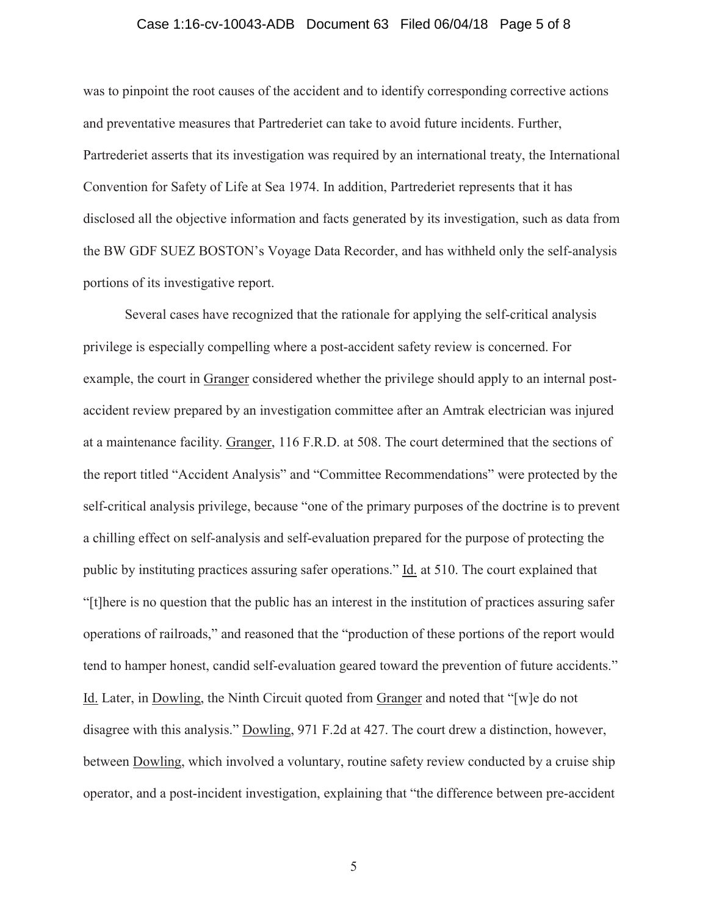#### Case 1:16-cv-10043-ADB Document 63 Filed 06/04/18 Page 5 of 8

was to pinpoint the root causes of the accident and to identify corresponding corrective actions and preventative measures that Partrederiet can take to avoid future incidents. Further, Partrederiet asserts that its investigation was required by an international treaty, the International Convention for Safety of Life at Sea 1974. In addition, Partrederiet represents that it has disclosed all the objective information and facts generated by its investigation, such as data from the BW GDF SUEZ BOSTON's Voyage Data Recorder, and has withheld only the self-analysis portions of its investigative report.

Several cases have recognized that the rationale for applying the self-critical analysis privilege is especially compelling where a post-accident safety review is concerned. For example, the court in Granger considered whether the privilege should apply to an internal postaccident review prepared by an investigation committee after an Amtrak electrician was injured at a maintenance facility. Granger, 116 F.R.D. at 508. The court determined that the sections of the report titled "Accident Analysis" and "Committee Recommendations" were protected by the self-critical analysis privilege, because "one of the primary purposes of the doctrine is to prevent a chilling effect on self-analysis and self-evaluation prepared for the purpose of protecting the public by instituting practices assuring safer operations." Id. at 510. The court explained that "[t]here is no question that the public has an interest in the institution of practices assuring safer operations of railroads," and reasoned that the "production of these portions of the report would tend to hamper honest, candid self-evaluation geared toward the prevention of future accidents." Id. Later, in Dowling, the Ninth Circuit quoted from Granger and noted that "[w]e do not disagree with this analysis." Dowling, 971 F.2d at 427. The court drew a distinction, however, between Dowling, which involved a voluntary, routine safety review conducted by a cruise ship operator, and a post-incident investigation, explaining that "the difference between pre-accident

5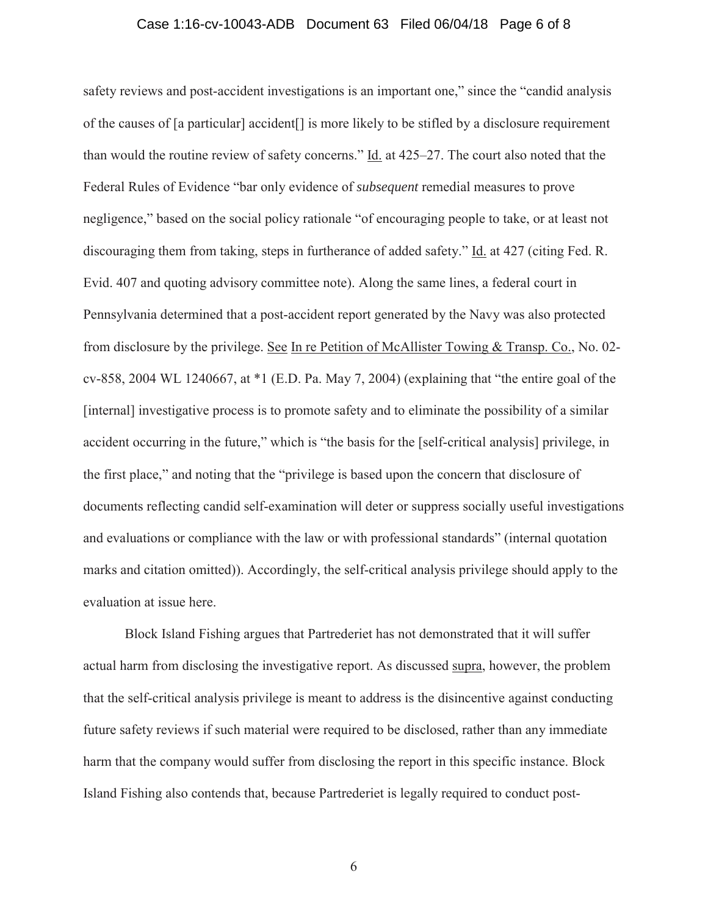# Case 1:16-cv-10043-ADB Document 63 Filed 06/04/18 Page 6 of 8

safety reviews and post-accident investigations is an important one," since the "candid analysis of the causes of [a particular] accident[] is more likely to be stifled by a disclosure requirement than would the routine review of safety concerns." Id. at 425–27. The court also noted that the Federal Rules of Evidence "bar only evidence of *subsequent* remedial measures to prove negligence," based on the social policy rationale "of encouraging people to take, or at least not discouraging them from taking, steps in furtherance of added safety." Id. at 427 (citing Fed. R. Evid. 407 and quoting advisory committee note). Along the same lines, a federal court in Pennsylvania determined that a post-accident report generated by the Navy was also protected from disclosure by the privilege. See In re Petition of McAllister Towing & Transp. Co., No. 02 cv-858, 2004 WL 1240667, at \*1 (E.D. Pa. May 7, 2004) (explaining that "the entire goal of the [internal] investigative process is to promote safety and to eliminate the possibility of a similar accident occurring in the future," which is "the basis for the [self-critical analysis] privilege, in the first place," and noting that the "privilege is based upon the concern that disclosure of documents reflecting candid self-examination will deter or suppress socially useful investigations and evaluations or compliance with the law or with professional standards" (internal quotation marks and citation omitted)). Accordingly, the self-critical analysis privilege should apply to the evaluation at issue here.

Block Island Fishing argues that Partrederiet has not demonstrated that it will suffer actual harm from disclosing the investigative report. As discussed supra, however, the problem that the self-critical analysis privilege is meant to address is the disincentive against conducting future safety reviews if such material were required to be disclosed, rather than any immediate harm that the company would suffer from disclosing the report in this specific instance. Block Island Fishing also contends that, because Partrederiet is legally required to conduct post-

6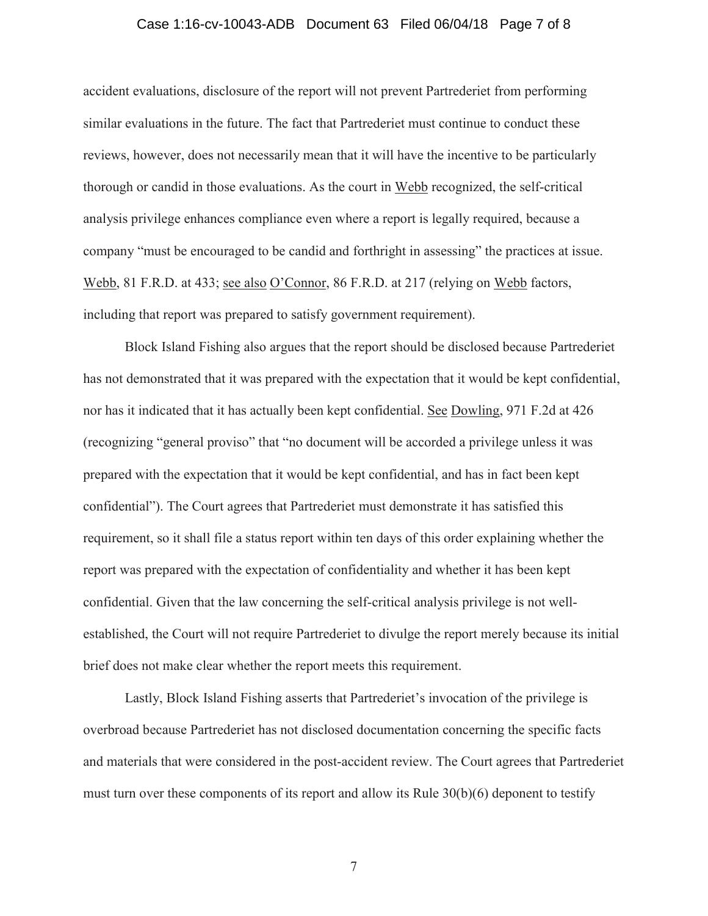#### Case 1:16-cv-10043-ADB Document 63 Filed 06/04/18 Page 7 of 8

accident evaluations, disclosure of the report will not prevent Partrederiet from performing similar evaluations in the future. The fact that Partrederiet must continue to conduct these reviews, however, does not necessarily mean that it will have the incentive to be particularly thorough or candid in those evaluations. As the court in Webb recognized, the self-critical analysis privilege enhances compliance even where a report is legally required, because a company "must be encouraged to be candid and forthright in assessing" the practices at issue. Webb, 81 F.R.D. at 433; see also O'Connor, 86 F.R.D. at 217 (relying on Webb factors, including that report was prepared to satisfy government requirement).

Block Island Fishing also argues that the report should be disclosed because Partrederiet has not demonstrated that it was prepared with the expectation that it would be kept confidential, nor has it indicated that it has actually been kept confidential. See Dowling, 971 F.2d at 426 (recognizing "general proviso" that "no document will be accorded a privilege unless it was prepared with the expectation that it would be kept confidential, and has in fact been kept confidential"). The Court agrees that Partrederiet must demonstrate it has satisfied this requirement, so it shall file a status report within ten days of this order explaining whether the report was prepared with the expectation of confidentiality and whether it has been kept confidential. Given that the law concerning the self-critical analysis privilege is not wellestablished, the Court will not require Partrederiet to divulge the report merely because its initial brief does not make clear whether the report meets this requirement.

Lastly, Block Island Fishing asserts that Partrederiet's invocation of the privilege is overbroad because Partrederiet has not disclosed documentation concerning the specific facts and materials that were considered in the post-accident review. The Court agrees that Partrederiet must turn over these components of its report and allow its Rule 30(b)(6) deponent to testify

7